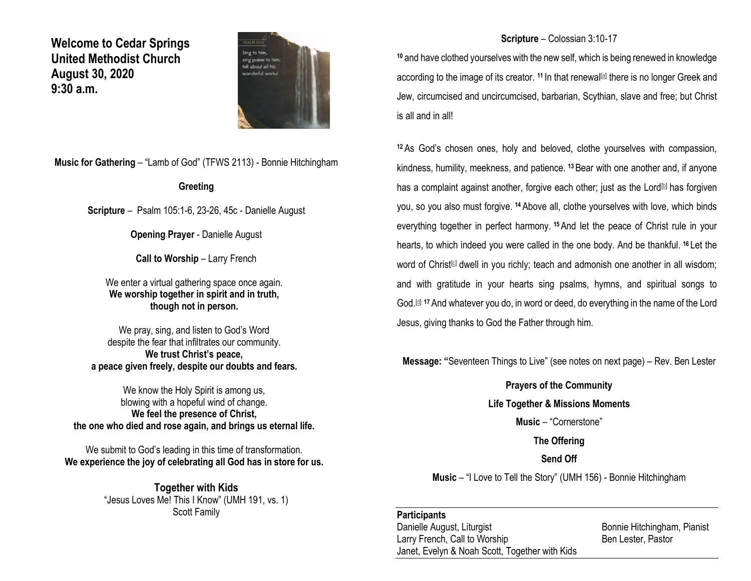**Welcome to Cedar Springs United Methodist Church August 30, 2020 9:30 a.m.** 



**Music for Gathering** – "Lamb of God" (TFWS 2113) - Bonnie Hitchingham

#### **Greeting**

**Scripture** – Psalm 105:1-6, 23-26, 45c - Danielle August

**Opening Prayer** - Danielle August

**Call to Worship – Larry French** 

We enter a virtual gathering space once again. **We worship together in spirit and in truth, though not in person.**

We pray, sing, and listen to God's Word despite the fear that infiltrates our community. **We trust Christ's peace, a peace given freely, despite our doubts and fears.**

We know the Holy Spirit is among us, blowing with a hopeful wind of change. **We feel the presence of Christ, the one who died and rose again, and brings us eternal life.**

We submit to God's leading in this time of transformation. **We experience the joy of celebrating all God has in store for us.**

> **Together with Kids** "Jesus Loves Me! This I Know" (UMH 191, vs. 1) Scott Family

### **Scripture** – Colossian 3:10-17

**<sup>10</sup>** and have clothed yourselves with the new self, which is being renewed in knowledge according to the image of its creator. <sup>11</sup> In that renewal<sup>[\[a\]](https://www.biblegateway.com/passage/?search=Colossians+3%3A10-17&version=NRSV#fen-NRSV-29512a)</sup> there is no longer Greek and Jew, circumcised and uncircumcised, barbarian, Scythian, slave and free; but Christ is all and in all!

**<sup>12</sup>** As God's chosen ones, holy and beloved, clothe yourselves with compassion, kindness, humility, meekness, and patience. **<sup>13</sup>** Bear with one another and, if anyone has a complaint against another, forgive each other; just as the Lord $\mathbb D$  has forgiven you, so you also must forgive. **<sup>14</sup>** Above all, clothe yourselves with love, which binds everything together in perfect harmony. **<sup>15</sup>**And let the peace of Christ rule in your hearts, to which indeed you were called in the one body. And be thankful. **<sup>16</sup>** Let the word of Christ<sup>[\[c\]](https://www.biblegateway.com/passage/?search=Colossians+3%3A10-17&version=NRSV#fen-NRSV-29517c)</sup> dwell in you richly; teach and admonish one another in all wisdom; and with gratitude in your hearts sing psalms, hymns, and spiritual songs to God.[\[d\]](https://www.biblegateway.com/passage/?search=Colossians+3%3A10-17&version=NRSV#fen-NRSV-29517d) **<sup>17</sup>** And whatever you do, in word or deed, do everything in the name of the Lord Jesus, giving thanks to God the Father through him.

**Message: "**Seventeen Things to Live" (see notes on next page) – Rev. Ben Lester

#### **Prayers of the Community**

**Life Together & Missions Moments**

**Music** – "Cornerstone"

**The Offering**

**Send Off**

**Music** – "I Love to Tell the Story" (UMH 156) - Bonnie Hitchingham

#### **Participants**

Danielle August, Liturgist **Bonnie Hitchingham, Pianist** Larry French, Call to Worship Ben Lester, Pastor Janet, Evelyn & Noah Scott, Together with Kids